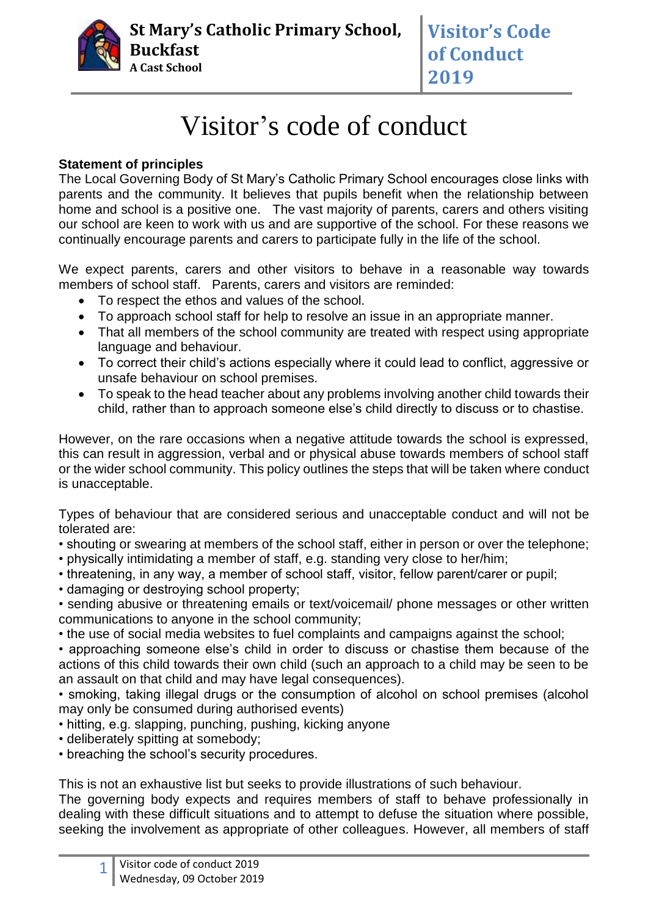

## Visitor's code of conduct

## **Statement of principles**

The Local Governing Body of St Mary's Catholic Primary School encourages close links with parents and the community. It believes that pupils benefit when the relationship between home and school is a positive one. The vast majority of parents, carers and others visiting our school are keen to work with us and are supportive of the school. For these reasons we continually encourage parents and carers to participate fully in the life of the school.

We expect parents, carers and other visitors to behave in a reasonable way towards members of school staff. Parents, carers and visitors are reminded:

- To respect the ethos and values of the school.
- To approach school staff for help to resolve an issue in an appropriate manner.
- That all members of the school community are treated with respect using appropriate language and behaviour.
- To correct their child's actions especially where it could lead to conflict, aggressive or unsafe behaviour on school premises.
- To speak to the head teacher about any problems involving another child towards their child, rather than to approach someone else's child directly to discuss or to chastise.

However, on the rare occasions when a negative attitude towards the school is expressed, this can result in aggression, verbal and or physical abuse towards members of school staff or the wider school community. This policy outlines the steps that will be taken where conduct is unacceptable.

Types of behaviour that are considered serious and unacceptable conduct and will not be tolerated are:

- shouting or swearing at members of the school staff, either in person or over the telephone;
- physically intimidating a member of staff, e.g. standing very close to her/him;
- threatening, in any way, a member of school staff, visitor, fellow parent/carer or pupil;
- damaging or destroying school property;

• sending abusive or threatening emails or text/voicemail/ phone messages or other written communications to anyone in the school community;

• the use of social media websites to fuel complaints and campaigns against the school;

• approaching someone else's child in order to discuss or chastise them because of the actions of this child towards their own child (such an approach to a child may be seen to be an assault on that child and may have legal consequences).

• smoking, taking illegal drugs or the consumption of alcohol on school premises (alcohol may only be consumed during authorised events)

- hitting, e.g. slapping, punching, pushing, kicking anyone
- deliberately spitting at somebody;
- breaching the school's security procedures.

This is not an exhaustive list but seeks to provide illustrations of such behaviour.

The governing body expects and requires members of staff to behave professionally in dealing with these difficult situations and to attempt to defuse the situation where possible, seeking the involvement as appropriate of other colleagues. However, all members of staff